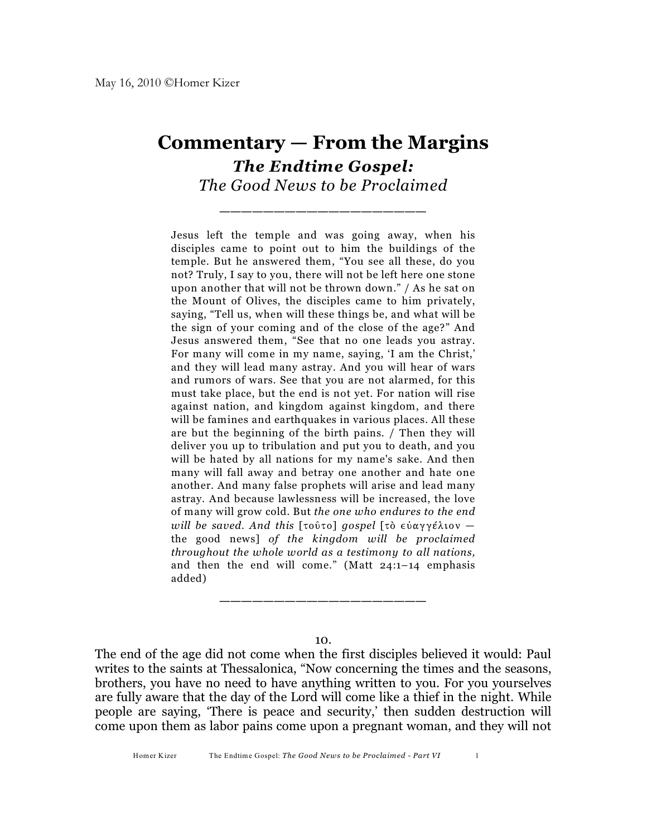## **Commentary — From the Margins** *The Endtime Gospel: The Good News to be Proclaimed*

\_\_\_\_\_\_\_\_\_\_\_\_\_\_\_\_\_\_\_

Jesus left the temple and was going away, when his disciples came to point out to him the buildings of the temple. But he answered them, "You see all these, do you not? Truly, I say to you, there will not be left here one stone upon another that will not be thrown down." / As he sat on the Mount of Olives, the disciples came to him privately, saying, "Tell us, when will these things be, and what will be the sign of your coming and of the close of the age?" And Jesus answered them, "See that no one leads you astray. For many will come in my name, saying, 'I am the Christ,' and they will lead many astray. And you will hear of wars and rumors of wars. See that you are not alarmed, for this must take place, but the end is not yet. For nation will rise against nation, and kingdom against kingdom, and there will be famines and earthquakes in various places. All these are but the beginning of the birth pains. / Then they will deliver you up to tribulation and put you to death, and you will be hated by all nations for my name's sake. And then many will fall away and betray one another and hate one another. And many false prophets will arise and lead many astray. And because lawlessness will be increased, the love of many will grow cold. But *the one who endures to the end will be saved. And this* [toûto] *gospel* [to εύαγγέλιον – the good news] *of the kingdom will be proclaimed throughout the whole world as a testimony to all nations,* and then the end will come." (Matt 24:1–14 emphasis added)

10.

\_\_\_\_\_\_\_\_\_\_\_\_\_\_\_\_\_\_\_

The end of the age did not come when the first disciples believed it would: Paul writes to the saints at Thessalonica, "Now concerning the times and the seasons, brothers, you have no need to have anything written to you. For you yourselves are fully aware that the day of the Lord will come like a thief in the night. While people are saying, 'There is peace and security,' then sudden destruction will come upon them as labor pains come upon a pregnant woman, and they will not

Homer Kizer The Endtime Gospel: *The Good News to be Proclaimed - Part VI* 1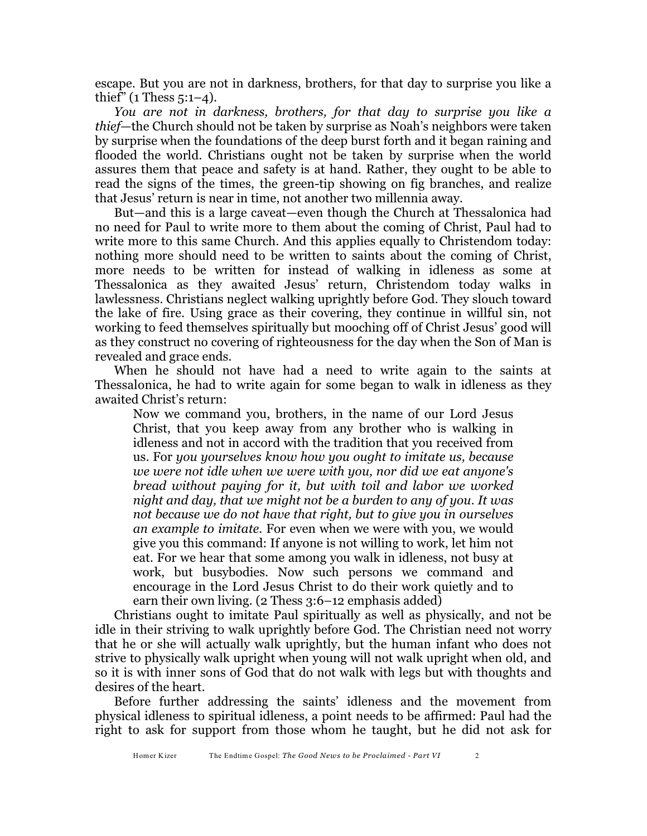escape. But you are not in darkness, brothers, for that day to surprise you like a thief"  $(1$  Thess  $5:1-4$ ).

*You are not in darkness, brothers, for that day to surprise you like a thief*—the Church should not be taken by surprise as Noah's neighbors were taken by surprise when the foundations of the deep burst forth and it began raining and flooded the world. Christians ought not be taken by surprise when the world assures them that peace and safety is at hand. Rather, they ought to be able to read the signs of the times, the green-tip showing on fig branches, and realize that Jesus' return is near in time, not another two millennia away.

But—and this is a large caveat—even though the Church at Thessalonica had no need for Paul to write more to them about the coming of Christ, Paul had to write more to this same Church. And this applies equally to Christendom today: nothing more should need to be written to saints about the coming of Christ, more needs to be written for instead of walking in idleness as some at Thessalonica as they awaited Jesus' return, Christendom today walks in lawlessness. Christians neglect walking uprightly before God. They slouch toward the lake of fire. Using grace as their covering, they continue in willful sin, not working to feed themselves spiritually but mooching off of Christ Jesus' good will as they construct no covering of righteousness for the day when the Son of Man is revealed and grace ends.

When he should not have had a need to write again to the saints at Thessalonica, he had to write again for some began to walk in idleness as they awaited Christ's return:

Now we command you, brothers, in the name of our Lord Jesus Christ, that you keep away from any brother who is walking in idleness and not in accord with the tradition that you received from us. For *you yourselves know how you ought to imitate us, because we were not idle when we were with you, nor did we eat anyone's bread without paying for it, but with toil and labor we worked night and day, that we might not be a burden to any of you. It was not because we do not have that right, but to give you in ourselves an example to imitate.* For even when we were with you, we would give you this command: If anyone is not willing to work, let him not eat. For we hear that some among you walk in idleness, not busy at work, but busybodies. Now such persons we command and encourage in the Lord Jesus Christ to do their work quietly and to earn their own living. (2 Thess 3:6–12 emphasis added)

Christians ought to imitate Paul spiritually as well as physically, and not be idle in their striving to walk uprightly before God. The Christian need not worry that he or she will actually walk uprightly, but the human infant who does not strive to physically walk upright when young will not walk upright when old, and so it is with inner sons of God that do not walk with legs but with thoughts and desires of the heart.

Before further addressing the saints' idleness and the movement from physical idleness to spiritual idleness, a point needs to be affirmed: Paul had the right to ask for support from those whom he taught, but he did not ask for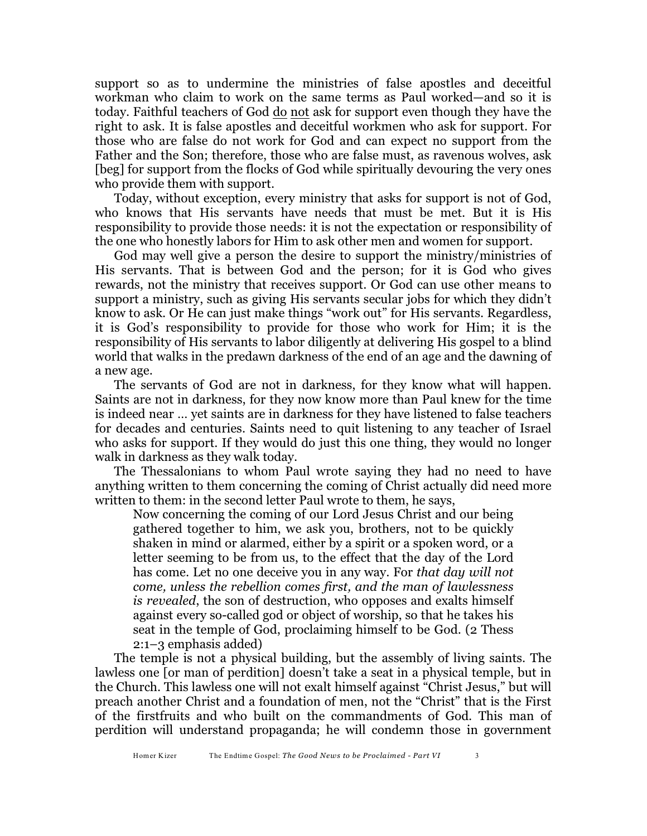support so as to undermine the ministries of false apostles and deceitful workman who claim to work on the same terms as Paul worked—and so it is today. Faithful teachers of God do not ask for support even though they have the right to ask. It is false apostles and deceitful workmen who ask for support. For those who are false do not work for God and can expect no support from the Father and the Son; therefore, those who are false must, as ravenous wolves, ask [beg] for support from the flocks of God while spiritually devouring the very ones who provide them with support.

Today, without exception, every ministry that asks for support is not of God, who knows that His servants have needs that must be met. But it is His responsibility to provide those needs: it is not the expectation or responsibility of the one who honestly labors for Him to ask other men and women for support.

God may well give a person the desire to support the ministry/ministries of His servants. That is between God and the person; for it is God who gives rewards, not the ministry that receives support. Or God can use other means to support a ministry, such as giving His servants secular jobs for which they didn't know to ask. Or He can just make things "work out" for His servants. Regardless, it is God's responsibility to provide for those who work for Him; it is the responsibility of His servants to labor diligently at delivering His gospel to a blind world that walks in the predawn darkness of the end of an age and the dawning of a new age.

The servants of God are not in darkness, for they know what will happen. Saints are not in darkness, for they now know more than Paul knew for the time is indeed near … yet saints are in darkness for they have listened to false teachers for decades and centuries. Saints need to quit listening to any teacher of Israel who asks for support. If they would do just this one thing, they would no longer walk in darkness as they walk today.

The Thessalonians to whom Paul wrote saying they had no need to have anything written to them concerning the coming of Christ actually did need more written to them: in the second letter Paul wrote to them, he says,

Now concerning the coming of our Lord Jesus Christ and our being gathered together to him, we ask you, brothers, not to be quickly shaken in mind or alarmed, either by a spirit or a spoken word, or a letter seeming to be from us, to the effect that the day of the Lord has come. Let no one deceive you in any way. For *that day will not come, unless the rebellion comes first, and the man of lawlessness is revealed*, the son of destruction, who opposes and exalts himself against every so-called god or object of worship, so that he takes his seat in the temple of God, proclaiming himself to be God. (2 Thess 2:1–3 emphasis added)

The temple is not a physical building, but the assembly of living saints. The lawless one [or man of perdition] doesn't take a seat in a physical temple, but in the Church. This lawless one will not exalt himself against "Christ Jesus," but will preach another Christ and a foundation of men, not the "Christ" that is the First of the firstfruits and who built on the commandments of God. This man of perdition will understand propaganda; he will condemn those in government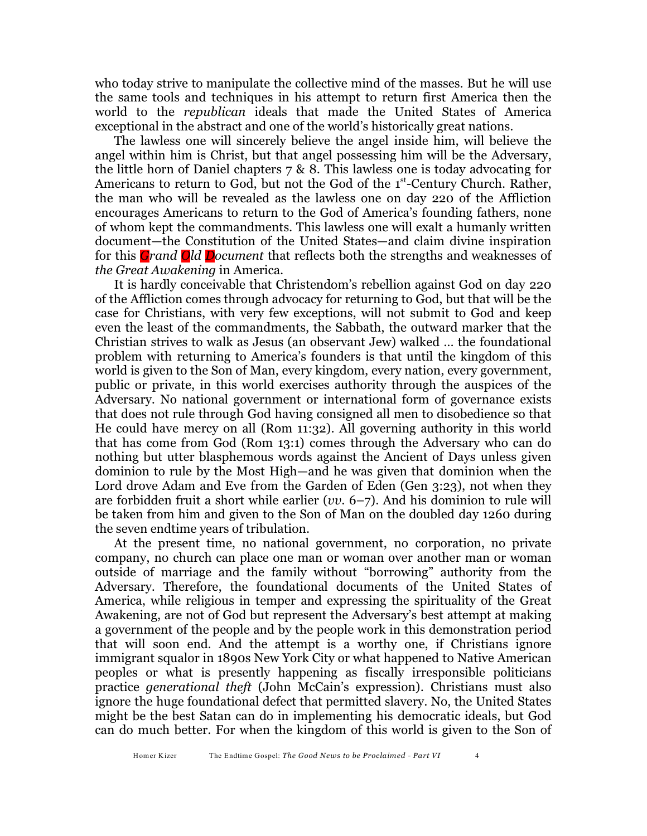who today strive to manipulate the collective mind of the masses. But he will use the same tools and techniques in his attempt to return first America then the world to the *republican* ideals that made the United States of America exceptional in the abstract and one of the world's historically great nations.

The lawless one will sincerely believe the angel inside him, will believe the angel within him is Christ, but that angel possessing him will be the Adversary, the little horn of Daniel chapters 7 & 8. This lawless one is today advocating for Americans to return to God, but not the God of the  $1<sup>st</sup>$ -Century Church. Rather, the man who will be revealed as the lawless one on day 220 of the Affliction encourages Americans to return to the God of America's founding fathers, none of whom kept the commandments. This lawless one will exalt a humanly written document—the Constitution of the United States—and claim divine inspiration for this *Grand Old Document* that reflects both the strengths and weaknesses of *the Great Awakening* in America.

It is hardly conceivable that Christendom's rebellion against God on day 220 of the Affliction comes through advocacy for returning to God, but that will be the case for Christians, with very few exceptions, will not submit to God and keep even the least of the commandments, the Sabbath, the outward marker that the Christian strives to walk as Jesus (an observant Jew) walked … the foundational problem with returning to America's founders is that until the kingdom of this world is given to the Son of Man, every kingdom, every nation, every government, public or private, in this world exercises authority through the auspices of the Adversary. No national government or international form of governance exists that does not rule through God having consigned all men to disobedience so that He could have mercy on all (Rom 11:32). All governing authority in this world that has come from God (Rom 13:1) comes through the Adversary who can do nothing but utter blasphemous words against the Ancient of Days unless given dominion to rule by the Most High—and he was given that dominion when the Lord drove Adam and Eve from the Garden of Eden (Gen 3:23), not when they are forbidden fruit a short while earlier (*vv*. 6–7). And his dominion to rule will be taken from him and given to the Son of Man on the doubled day 1260 during the seven endtime years of tribulation.

At the present time, no national government, no corporation, no private company, no church can place one man or woman over another man or woman outside of marriage and the family without "borrowing" authority from the Adversary. Therefore, the foundational documents of the United States of America, while religious in temper and expressing the spirituality of the Great Awakening, are not of God but represent the Adversary's best attempt at making a government of the people and by the people work in this demonstration period that will soon end. And the attempt is a worthy one, if Christians ignore immigrant squalor in 1890s New York City or what happened to Native American peoples or what is presently happening as fiscally irresponsible politicians practice *generational theft* (John McCain's expression). Christians must also ignore the huge foundational defect that permitted slavery. No, the United States might be the best Satan can do in implementing his democratic ideals, but God can do much better. For when the kingdom of this world is given to the Son of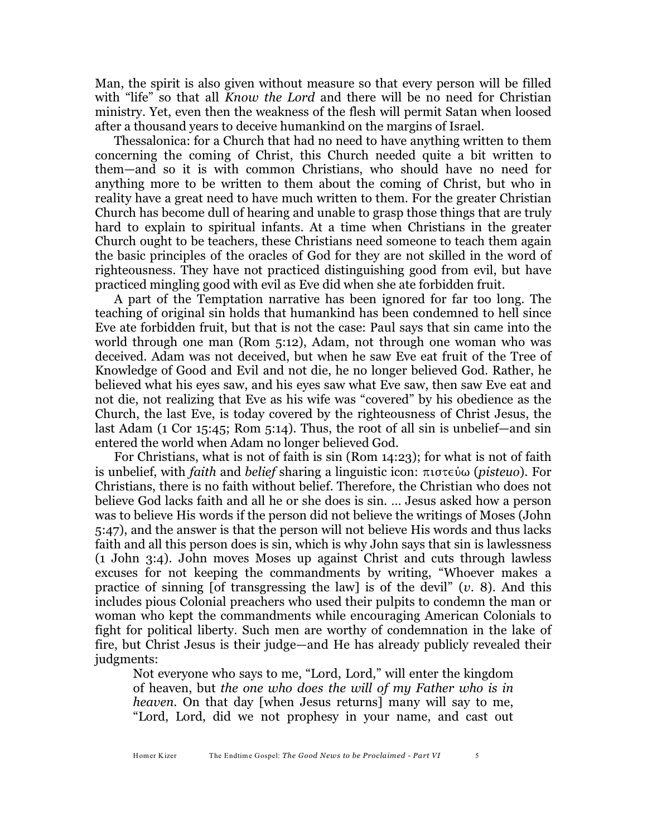Man, the spirit is also given without measure so that every person will be filled with "life" so that all *Know the Lord* and there will be no need for Christian ministry. Yet, even then the weakness of the flesh will permit Satan when loosed after a thousand years to deceive humankind on the margins of Israel.

Thessalonica: for a Church that had no need to have anything written to them concerning the coming of Christ, this Church needed quite a bit written to them—and so it is with common Christians, who should have no need for anything more to be written to them about the coming of Christ, but who in reality have a great need to have much written to them. For the greater Christian Church has become dull of hearing and unable to grasp those things that are truly hard to explain to spiritual infants. At a time when Christians in the greater Church ought to be teachers, these Christians need someone to teach them again the basic principles of the oracles of God for they are not skilled in the word of righteousness. They have not practiced distinguishing good from evil, but have practiced mingling good with evil as Eve did when she ate forbidden fruit.

A part of the Temptation narrative has been ignored for far too long. The teaching of original sin holds that humankind has been condemned to hell since Eve ate forbidden fruit, but that is not the case: Paul says that sin came into the world through one man (Rom 5:12), Adam, not through one woman who was deceived. Adam was not deceived, but when he saw Eve eat fruit of the Tree of Knowledge of Good and Evil and not die, he no longer believed God. Rather, he believed what his eyes saw, and his eyes saw what Eve saw, then saw Eve eat and not die, not realizing that Eve as his wife was "covered" by his obedience as the Church, the last Eve, is today covered by the righteousness of Christ Jesus, the last Adam (1 Cor 15:45; Rom 5:14). Thus, the root of all sin is unbelief—and sin entered the world when Adam no longer believed God.

For Christians, what is not of faith is sin (Rom 14:23); for what is not of faith is unbelief, with *faith* and *belief* sharing a linguistic icon: πιστεύω (*pisteuo*). For Christians, there is no faith without belief. Therefore, the Christian who does not believe God lacks faith and all he or she does is sin. … Jesus asked how a person was to believe His words if the person did not believe the writings of Moses (John 5:47), and the answer is that the person will not believe His words and thus lacks faith and all this person does is sin, which is why John says that sin is lawlessness (1 John 3:4). John moves Moses up against Christ and cuts through lawless excuses for not keeping the commandments by writing, "Whoever makes a practice of sinning [of transgressing the law] is of the devil" (*v*. 8). And this includes pious Colonial preachers who used their pulpits to condemn the man or woman who kept the commandments while encouraging American Colonials to fight for political liberty. Such men are worthy of condemnation in the lake of fire, but Christ Jesus is their judge—and He has already publicly revealed their judgments:

Not everyone who says to me, "Lord, Lord," will enter the kingdom of heaven, but *the one who does the will of my Father who is in heaven*. On that day [when Jesus returns] many will say to me, "Lord, Lord, did we not prophesy in your name, and cast out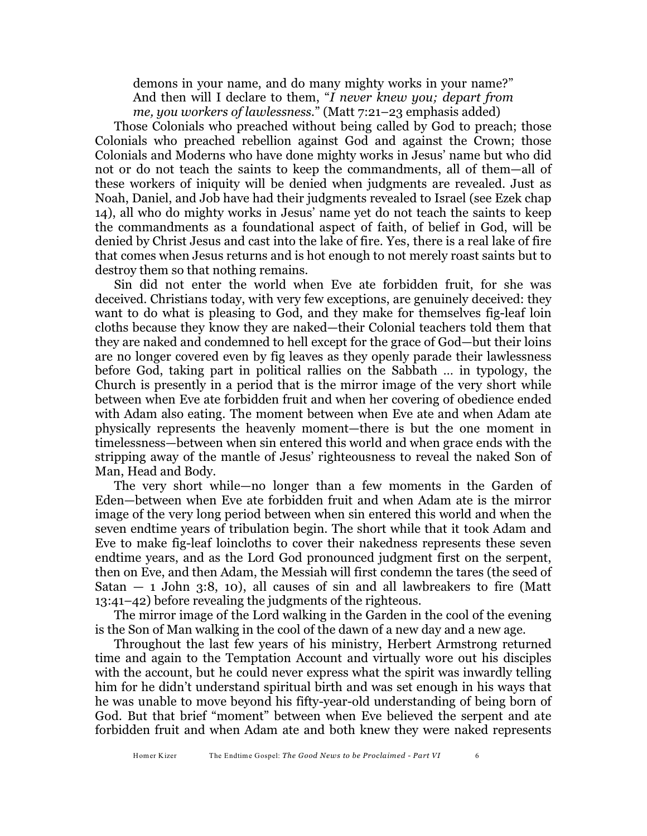demons in your name, and do many mighty works in your name?" And then will I declare to them, "*I never knew you; depart from me, you workers of lawlessness.*" (Matt 7:21–23 emphasis added)

Those Colonials who preached without being called by God to preach; those Colonials who preached rebellion against God and against the Crown; those Colonials and Moderns who have done mighty works in Jesus' name but who did not or do not teach the saints to keep the commandments, all of them—all of these workers of iniquity will be denied when judgments are revealed. Just as Noah, Daniel, and Job have had their judgments revealed to Israel (see Ezek chap 14), all who do mighty works in Jesus' name yet do not teach the saints to keep the commandments as a foundational aspect of faith, of belief in God, will be denied by Christ Jesus and cast into the lake of fire. Yes, there is a real lake of fire that comes when Jesus returns and is hot enough to not merely roast saints but to destroy them so that nothing remains.

Sin did not enter the world when Eve ate forbidden fruit, for she was deceived. Christians today, with very few exceptions, are genuinely deceived: they want to do what is pleasing to God, and they make for themselves fig-leaf loin cloths because they know they are naked—their Colonial teachers told them that they are naked and condemned to hell except for the grace of God—but their loins are no longer covered even by fig leaves as they openly parade their lawlessness before God, taking part in political rallies on the Sabbath … in typology, the Church is presently in a period that is the mirror image of the very short while between when Eve ate forbidden fruit and when her covering of obedience ended with Adam also eating. The moment between when Eve ate and when Adam ate physically represents the heavenly moment—there is but the one moment in timelessness—between when sin entered this world and when grace ends with the stripping away of the mantle of Jesus' righteousness to reveal the naked Son of Man, Head and Body.

The very short while—no longer than a few moments in the Garden of Eden—between when Eve ate forbidden fruit and when Adam ate is the mirror image of the very long period between when sin entered this world and when the seven endtime years of tribulation begin. The short while that it took Adam and Eve to make fig-leaf loincloths to cover their nakedness represents these seven endtime years, and as the Lord God pronounced judgment first on the serpent, then on Eve, and then Adam, the Messiah will first condemn the tares (the seed of Satan  $-$  1 John 3:8, 10), all causes of sin and all lawbreakers to fire (Matt 13:41–42) before revealing the judgments of the righteous.

The mirror image of the Lord walking in the Garden in the cool of the evening is the Son of Man walking in the cool of the dawn of a new day and a new age.

Throughout the last few years of his ministry, Herbert Armstrong returned time and again to the Temptation Account and virtually wore out his disciples with the account, but he could never express what the spirit was inwardly telling him for he didn't understand spiritual birth and was set enough in his ways that he was unable to move beyond his fifty-year-old understanding of being born of God. But that brief "moment" between when Eve believed the serpent and ate forbidden fruit and when Adam ate and both knew they were naked represents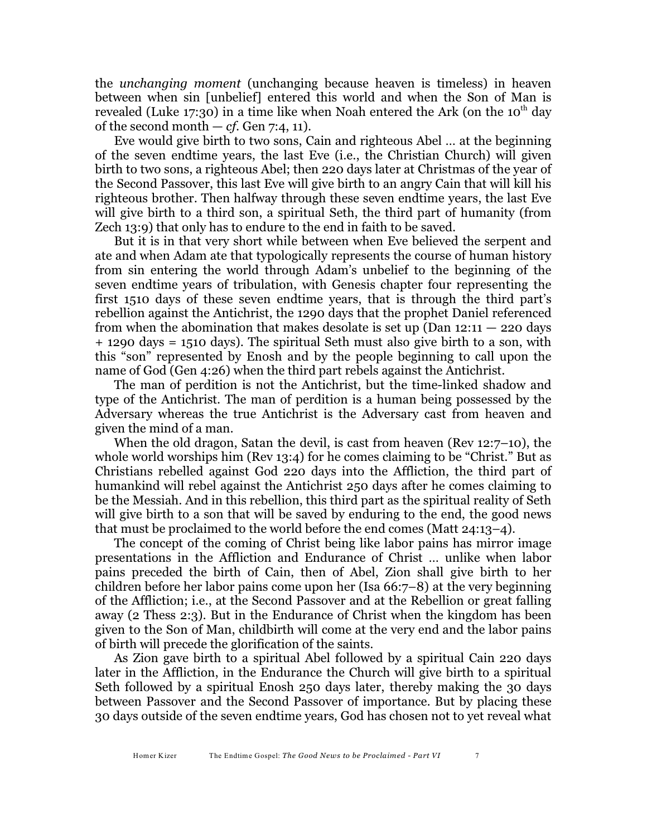the *unchanging moment* (unchanging because heaven is timeless) in heaven between when sin [unbelief] entered this world and when the Son of Man is revealed (Luke 17:30) in a time like when Noah entered the Ark (on the 10<sup>th</sup> day of the second month  $- cf.$  Gen 7:4, 11).

Eve would give birth to two sons, Cain and righteous Abel … at the beginning of the seven endtime years, the last Eve (i.e., the Christian Church) will given birth to two sons, a righteous Abel; then 220 days later at Christmas of the year of the Second Passover, this last Eve will give birth to an angry Cain that will kill his righteous brother. Then halfway through these seven endtime years, the last Eve will give birth to a third son, a spiritual Seth, the third part of humanity (from Zech 13:9) that only has to endure to the end in faith to be saved.

But it is in that very short while between when Eve believed the serpent and ate and when Adam ate that typologically represents the course of human history from sin entering the world through Adam's unbelief to the beginning of the seven endtime years of tribulation, with Genesis chapter four representing the first 1510 days of these seven endtime years, that is through the third part's rebellion against the Antichrist, the 1290 days that the prophet Daniel referenced from when the abomination that makes desolate is set up (Dan  $12:11 - 220$  days + 1290 days = 1510 days). The spiritual Seth must also give birth to a son, with this "son" represented by Enosh and by the people beginning to call upon the name of God (Gen 4:26) when the third part rebels against the Antichrist.

The man of perdition is not the Antichrist, but the time-linked shadow and type of the Antichrist. The man of perdition is a human being possessed by the Adversary whereas the true Antichrist is the Adversary cast from heaven and given the mind of a man.

When the old dragon, Satan the devil, is cast from heaven (Rev 12:7–10), the whole world worships him (Rev 13:4) for he comes claiming to be "Christ." But as Christians rebelled against God 220 days into the Affliction, the third part of humankind will rebel against the Antichrist 250 days after he comes claiming to be the Messiah. And in this rebellion, this third part as the spiritual reality of Seth will give birth to a son that will be saved by enduring to the end, the good news that must be proclaimed to the world before the end comes (Matt  $24:13-4$ ).

The concept of the coming of Christ being like labor pains has mirror image presentations in the Affliction and Endurance of Christ … unlike when labor pains preceded the birth of Cain, then of Abel, Zion shall give birth to her children before her labor pains come upon her (Isa 66:7–8) at the very beginning of the Affliction; i.e., at the Second Passover and at the Rebellion or great falling away (2 Thess 2:3). But in the Endurance of Christ when the kingdom has been given to the Son of Man, childbirth will come at the very end and the labor pains of birth will precede the glorification of the saints.

As Zion gave birth to a spiritual Abel followed by a spiritual Cain 220 days later in the Affliction, in the Endurance the Church will give birth to a spiritual Seth followed by a spiritual Enosh 250 days later, thereby making the 30 days between Passover and the Second Passover of importance. But by placing these 30 days outside of the seven endtime years, God has chosen not to yet reveal what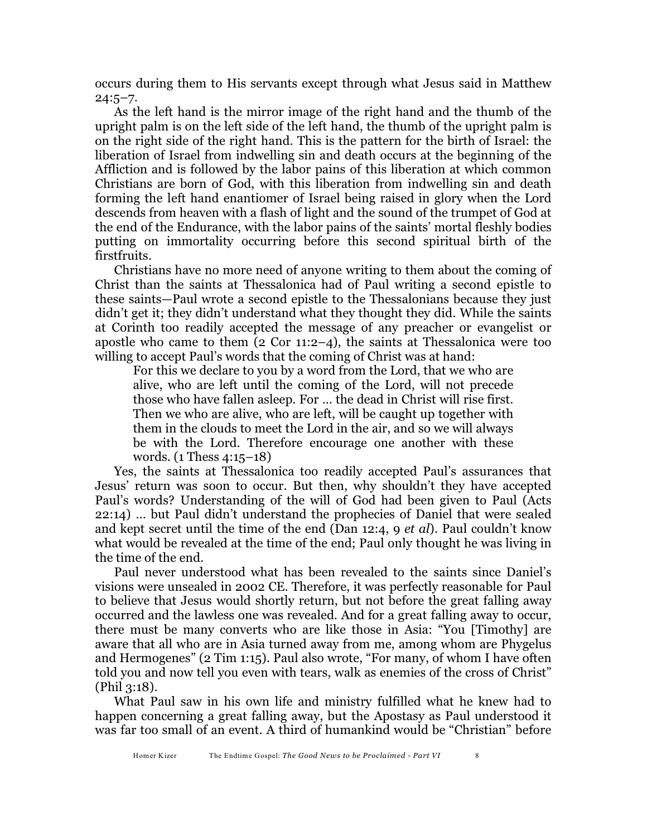occurs during them to His servants except through what Jesus said in Matthew  $24:5-7.$ 

As the left hand is the mirror image of the right hand and the thumb of the upright palm is on the left side of the left hand, the thumb of the upright palm is on the right side of the right hand. This is the pattern for the birth of Israel: the liberation of Israel from indwelling sin and death occurs at the beginning of the Affliction and is followed by the labor pains of this liberation at which common Christians are born of God, with this liberation from indwelling sin and death forming the left hand enantiomer of Israel being raised in glory when the Lord descends from heaven with a flash of light and the sound of the trumpet of God at the end of the Endurance, with the labor pains of the saints' mortal fleshly bodies putting on immortality occurring before this second spiritual birth of the firstfruits.

Christians have no more need of anyone writing to them about the coming of Christ than the saints at Thessalonica had of Paul writing a second epistle to these saints—Paul wrote a second epistle to the Thessalonians because they just didn't get it; they didn't understand what they thought they did. While the saints at Corinth too readily accepted the message of any preacher or evangelist or apostle who came to them  $(2 \text{ Cor } 11:2-4)$ , the saints at Thessalonica were too willing to accept Paul's words that the coming of Christ was at hand:

For this we declare to you by a word from the Lord, that we who are alive, who are left until the coming of the Lord, will not precede those who have fallen asleep. For … the dead in Christ will rise first. Then we who are alive, who are left, will be caught up together with them in the clouds to meet the Lord in the air, and so we will always be with the Lord. Therefore encourage one another with these words. (1 Thess 4:15–18)

Yes, the saints at Thessalonica too readily accepted Paul's assurances that Jesus' return was soon to occur. But then, why shouldn't they have accepted Paul's words? Understanding of the will of God had been given to Paul (Acts 22:14) … but Paul didn't understand the prophecies of Daniel that were sealed and kept secret until the time of the end (Dan 12:4, 9 *et al*). Paul couldn't know what would be revealed at the time of the end; Paul only thought he was living in the time of the end.

Paul never understood what has been revealed to the saints since Daniel's visions were unsealed in 2002 CE. Therefore, it was perfectly reasonable for Paul to believe that Jesus would shortly return, but not before the great falling away occurred and the lawless one was revealed. And for a great falling away to occur, there must be many converts who are like those in Asia: "You [Timothy] are aware that all who are in Asia turned away from me, among whom are Phygelus and Hermogenes" (2 Tim 1:15). Paul also wrote, "For many, of whom I have often told you and now tell you even with tears, walk as enemies of the cross of Christ" (Phil 3:18).

What Paul saw in his own life and ministry fulfilled what he knew had to happen concerning a great falling away, but the Apostasy as Paul understood it was far too small of an event. A third of humankind would be "Christian" before